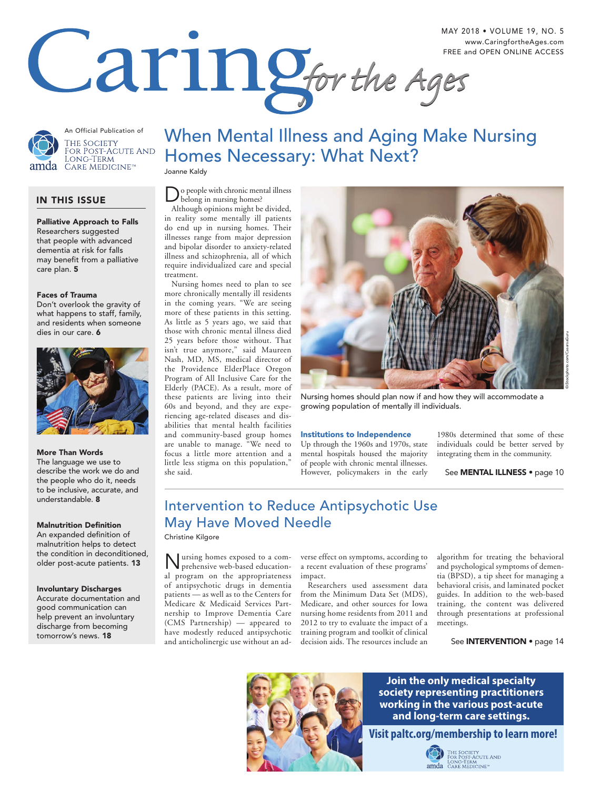

MAY 2018 • VOLUME 19, NO. 5 FREE and OPEN ONLINE ACCESS

An Official Publication of THE SOCIETY for Post-Acute And<br>Long-Term CARE MEDICINE™ amda

## IN THIS ISSUE

Palliative Approach to Falls Researchers suggested that people with advanced dementia at risk for falls may benefit from a palliative care plan. 5

## Faces of Trauma

Don't overlook the gravity of what happens to staff, family, and residents when someone dies in our care. 6



### More Than Words

The language we use to describe the work we do and the people who do it, needs to be inclusive, accurate, and understandable. 8

## **Malnutrition Definition**

An expanded definition of malnutrition helps to detect the condition in deconditioned, older post-acute patients. 13

### Involuntary Discharges

Accurate documentation and good communication can help prevent an involuntary discharge from becoming tomorrow's news. 18

## When Mental Illness and Aging Make Nursing Homes Necessary: What Next?

Joanne Kaldy

## o people with chronic mental illness belong in nursing homes?

Although opinions might be divided, in reality some mentally ill patients do end up in nursing homes. Their illnesses range from major depression and bipolar disorder to anxiety-related illness and schizophrenia, all of which require individualized care and special treatment.

 Nursing homes need to plan to see more chronically mentally ill residents in the coming years. "We are seeing more of these patients in this setting. As little as 5 years ago, we said that those with chronic mental illness died 25 years before those without. That isn't true anymore," said Maureen Nash, MD, MS, medical director of the Providence ElderPlace Oregon Program of All Inclusive Care for the Elderly (PACE). As a result, more of these patients are living into their 60s and beyond, and they are experiencing age-related diseases and disabilities that mental health facilities and community-based group homes are unable to manage. "We need to focus a little more attention and a little less stigma on this population," she said.



Nursing homes should plan now if and how they will accommodate a growing population of mentally ill individuals.

## Institutions to Independence

 Up through the 1960s and 1970s, state mental hospitals housed the majority of people with chronic mental illnesses. However, policymakers in the early

1980s determined that some of these individuals could be better served by integrating them in the community.

See **MENTAL ILLNESS** • page 10

## Intervention to Reduce Antipsychotic Use May Have Moved Needle Christine Kilgore

Nursing homes exposed to a com-prehensive web-based educational program on the appropriateness of antipsychotic drugs in dementia patients — as well as to the Centers for Medicare & Medicaid Services Partnership to Improve Dementia Care (CMS Partnership) — appeared to have modestly reduced antipsychotic and anticholinergic use without an adverse effect on symptoms, according to a recent evaluation of these programs' impact.

 Researchers used assessment data from the Minimum Data Set (MDS), Medicare, and other sources for Iowa nursing home residents from 2011 and 2012 to try to evaluate the impact of a training program and toolkit of clinical decision aids. The resources include an

algorithm for treating the behavioral and psychological symptoms of dementia (BPSD), a tip sheet for managing a behavioral crisis, and laminated pocket guides. In addition to the web-based training, the content was delivered through presentations at professional meetings.

See **INTERVENTION** • page 14



**Join the only medical specialty society representing practitioners working in the various post-acute and long-term care settings.** 

**Visit paltc.org/membership to learn more!**<br>  $\bigodot_{\tiny{\begin{array}{c}\text{Fock POST-ACUTE AND}\end{array}}}$ 

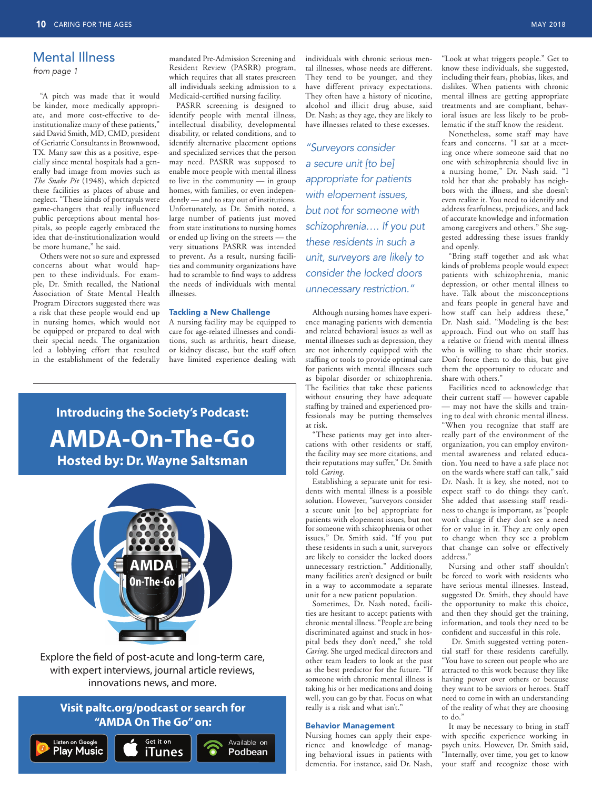## Mental Illness

*from page 1*

"A pitch was made that it would be kinder, more medically appropriate, and more cost-effective to deinstitutionalize many of these patients," said David Smith, MD, CMD, president of Geriatric Consultants in Brownwood, TX. Many saw this as a positive, especially since mental hospitals had a generally bad image from movies such as *The Snake Pit* (1948), which depicted these facilities as places of abuse and neglect. "These kinds of portrayals were game-changers that really influenced public perceptions about mental hospitals, so people eagerly embraced the idea that de-institutionalization would be more humane," he said.

 Others were not so sure and expressed concerns about what would happen to these individuals. For example, Dr. Smith recalled, the National Association of State Mental Health Program Directors suggested there was a risk that these people would end up in nursing homes, which would not be equipped or prepared to deal with their special needs. The organization led a lobbying effort that resulted in the establishment of the federally

mandated Pre-Admission Screening and Resident Review (PASRR) program, which requires that all states prescreen all individuals seeking admission to a Medicaid-certified nursing facility.

 PASRR screening is designed to identify people with mental illness, intellectual disability, developmental disability, or related conditions, and to identify alternative placement options and specialized services that the person may need. PASRR was supposed to enable more people with mental illness to live in the community — in group homes, with families, or even independently — and to stay out of institutions. Unfortunately, as Dr. Smith noted, a large number of patients just moved from state institutions to nursing homes or ended up living on the streets — the very situations PASRR was intended to prevent. As a result, nursing facilities and community organizations have had to scramble to find ways to address the needs of individuals with mental illnesses.

### Tackling a New Challenge

A nursing facility may be equipped to care for age-related illnesses and conditions, such as arthritis, heart disease, or kidney disease, but the staff often have limited experience dealing with

individuals with chronic serious mental illnesses, whose needs are different. They tend to be younger, and they have different privacy expectations. They often have a history of nicotine, alcohol and illicit drug abuse, said Dr. Nash; as they age, they are likely to have illnesses related to these excesses.

*"Surveyors consider a secure unit [to be] appropriate for patients with elopement issues, but not for someone with schizophrenia…. If you put these residents in such a unit, surveyors are likely to consider the locked doors unnecessary restriction."*

 Although nursing homes have experience managing patients with dementia and related behavioral issues as well as mental illnesses such as depression, they are not inherently equipped with the staffing or tools to provide optimal care for patients with mental illnesses such as bipolar disorder or schizophrenia. The facilities that take these patients without ensuring they have adequate staffing by trained and experienced professionals may be putting themselves at risk.

 "These patients may get into altercations with other residents or staff, the facility may see more citations, and their reputations may suffer," Dr. Smith told *Caring*.

Establishing a separate unit for residents with mental illness is a possible solution. However, "surveyors consider a secure unit [to be] appropriate for patients with elopement issues, but not for someone with schizophrenia or other issues," Dr. Smith said. "If you put these residents in such a unit, surveyors are likely to consider the locked doors unnecessary restriction." Additionally, many facilities aren't designed or built in a way to accommodate a separate unit for a new patient population.

Sometimes, Dr. Nash noted, facilities are hesitant to accept patients with chronic mental illness. "People are being discriminated against and stuck in hospital beds they don't need," she told *Caring*. She urged medical directors and other team leaders to look at the past as the best predictor for the future. "If someone with chronic mental illness is taking his or her medications and doing well, you can go by that. Focus on what really is a risk and what isn't."

#### Behavior Management

Nursing homes can apply their experience and knowledge of managing behavioral issues in patients with dementia. For instance, said Dr. Nash,

"Look at what triggers people." Get to know these individuals, she suggested, including their fears, phobias, likes, and dislikes. When patients with chronic mental illness are getting appropriate treatments and are compliant, behavioral issues are less likely to be problematic if the staff know the resident.

Nonetheless, some staff may have fears and concerns. "I sat at a meeting once where someone said that no one with schizophrenia should live in a nursing home," Dr. Nash said. "I told her that she probably has neighbors with the illness, and she doesn't even realize it. You need to identify and address fearfulness, prejudices, and lack of accurate knowledge and information among caregivers and others." She suggested addressing these issues frankly and openly.

"Bring staff together and ask what kinds of problems people would expect patients with schizophrenia, manic depression, or other mental illness to have. Talk about the misconceptions and fears people in general have and how staff can help address these," Dr. Nash said. "Modeling is the best approach. Find out who on staff has a relative or friend with mental illness who is willing to share their stories. Don't force them to do this, but give them the opportunity to educate and share with others."

 Facilities need to acknowledge that their current staff — however capable — may not have the skills and training to deal with chronic mental illness. "When you recognize that staff are really part of the environment of the organization, you can employ environmental awareness and related education. You need to have a safe place not on the wards where staff can talk," said Dr. Nash. It is key, she noted, not to expect staff to do things they can't. She added that assessing staff readiness to change is important, as "people won't change if they don't see a need for or value in it. They are only open to change when they see a problem that change can solve or effectively address."

Nursing and other staff shouldn't be forced to work with residents who have serious mental illnesses. Instead, suggested Dr. Smith, they should have the opportunity to make this choice, and then they should get the training, information, and tools they need to be confident and successful in this role.

 Dr. Smith suggested vetting potential staff for these residents carefully. "You have to screen out people who are attracted to this work because they like having power over others or because they want to be saviors or heroes. Staff need to come in with an understanding of the reality of what they are choosing to do."

It may be necessary to bring in staff with specific experience working in psych units. However, Dr. Smith said, "Internally, over time, you get to know your staff and recognize those with

# **Introducing the Society's Podcast: AMDA-On-The-Go Hosted by: Dr. Wayne Saltsman**



Explore the field of post-acute and long-term care, with expert interviews, journal article reviews, innovations news, and more.

## **Visit paltc.org/podcast or search for "AMDA On The Go" on:**